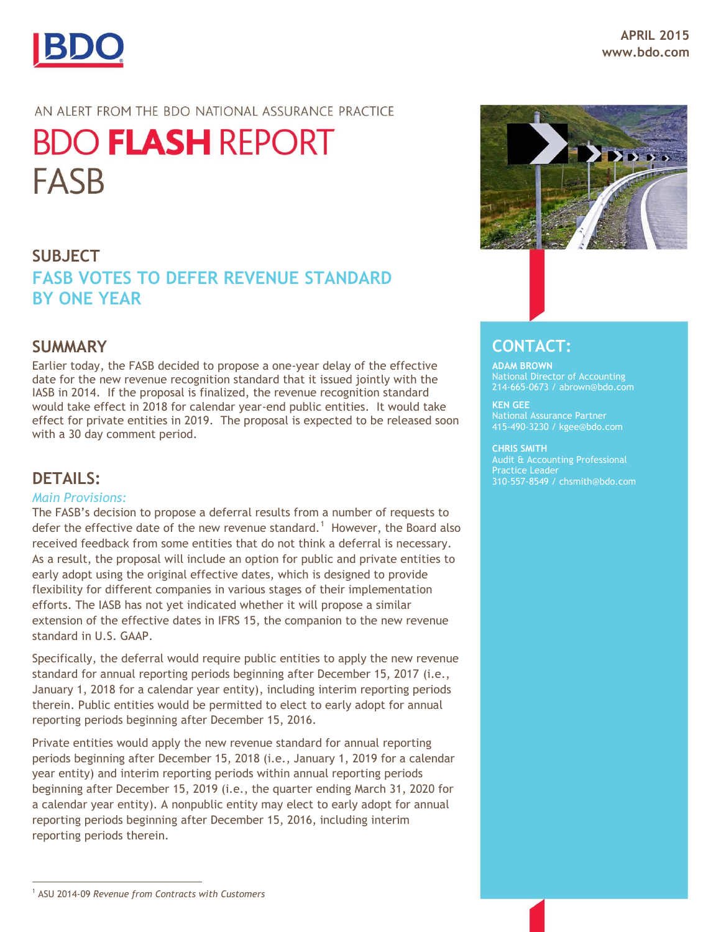

## AN ALERT FROM THE BDO NATIONAL ASSURANCE PRACTICE

# **BDO FLASH REPORT FASB**

# **SUBJECT FASB VOTES TO DEFER REVENUE STANDARD BY ONE YEAR**

## **SUMMARY**

Earlier today, the FASB decided to propose a one-year delay of the effective date for the new revenue recognition standard that it issued jointly with the IASB in 2014. If the proposal is finalized, the revenue recognition standard would take effect in 2018 for calendar year-end public entities. It would take effect for private entities in 2019. The proposal is expected to be released soon with a 30 day comment period.

## **DETAILS:**

### *Main Provisions:*

The FASB's decision to propose a deferral results from a number of requests to defer the effective date of the new revenue standard.<sup>1</sup> However, the Board also received feedback from some entities that do not think a deferral is necessary. As a result, the proposal will include an option for public and private entities to early adopt using the original effective dates, which is designed to provide flexibility for different companies in various stages of their implementation efforts. The IASB has not yet indicated whether it will propose a similar extension of the effective dates in IFRS 15, the companion to the new revenue standard in U.S. GAAP.

Specifically, the deferral would require public entities to apply the new revenue standard for annual reporting periods beginning after December 15, 2017 (i.e., January 1, 2018 for a calendar year entity), including interim reporting periods therein. Public entities would be permitted to elect to early adopt for annual reporting periods beginning after December 15, 2016.

Private entities would apply the new revenue standard for annual reporting periods beginning after December 15, 2018 (i.e., January 1, 2019 for a calendar year entity) and interim reporting periods within annual reporting periods beginning after December 15, 2019 (i.e., the quarter ending March 31, 2020 for a calendar year entity). A nonpublic entity may elect to early adopt for annual reporting periods beginning after December 15, 2016, including interim reporting periods therein.



## **CONTACT:**

## **ADAM BROWN** 214-665-0673 / abrown@bdo.com

**KEN GEE** National Assurance Partner 415-490-3230 / kgee@bdo.com

#### **CHRIS SMITH**

Audit & Accounting Professional Practice Leader 310-557-8549 / chsmith@bdo.com

 $\overline{a}$ <sup>1</sup> ASU 2014-09 *Revenue from Contracts with Customers*